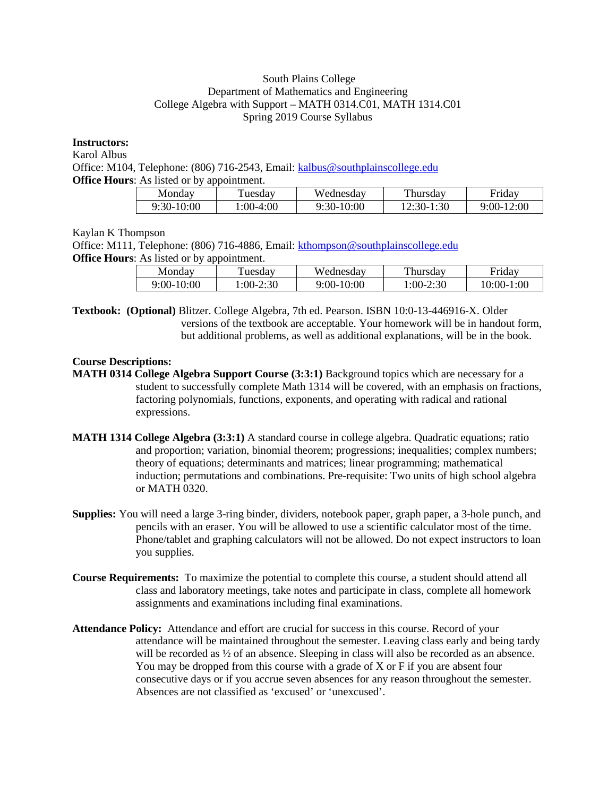#### South Plains College Department of Mathematics and Engineering College Algebra with Support – MATH 0314.C01, MATH 1314.C01 Spring 2019 Course Syllabus

### **Instructors:**

Karol Albus

Office: M104, Telephone: (806) 716-2543, Email: [kalbus@southplainscollege.edu](mailto:kalbus@southplainscollege.edu) **Office Hours:** As listed or by appointment.

| Mondav     | uesday     | Wednesdav  | . hursdav   | Fridav     |
|------------|------------|------------|-------------|------------|
| 9:30-10:00 | $:00-4:00$ | ን:30-10:00 | $2:30-1:30$ | 9:00-12:00 |

## Kaylan K Thompson

Office: M111, Telephone: (806) 716-4886, Email: [kthompson@southplainscollege.edu](mailto:kthompson@southplainscollege.edu) **Office Hours:** As listed or by appointment.

| Monday     | uesdav     | Wednesday  | Thursday   | Fridav      |
|------------|------------|------------|------------|-------------|
| 9:00-10:00 | $:00-2:30$ | 9:00-10:00 | $:00-2:30$ | l 0:00-1:00 |

**Textbook: (Optional)** Blitzer. College Algebra, 7th ed. Pearson. ISBN 10:0-13-446916-X. Older versions of the textbook are acceptable. Your homework will be in handout form, but additional problems, as well as additional explanations, will be in the book.

## **Course Descriptions:**

**MATH 0314 College Algebra Support Course (3:3:1)** Background topics which are necessary for a student to successfully complete Math 1314 will be covered, with an emphasis on fractions, factoring polynomials, functions, exponents, and operating with radical and rational expressions.

- **MATH 1314 College Algebra (3:3:1)** A standard course in college algebra. Quadratic equations; ratio and proportion; variation, binomial theorem; progressions; inequalities; complex numbers; theory of equations; determinants and matrices; linear programming; mathematical induction; permutations and combinations. Pre-requisite: Two units of high school algebra or MATH 0320.
- **Supplies:** You will need a large 3-ring binder, dividers, notebook paper, graph paper, a 3-hole punch, and pencils with an eraser. You will be allowed to use a scientific calculator most of the time. Phone/tablet and graphing calculators will not be allowed. Do not expect instructors to loan you supplies.
- **Course Requirements:** To maximize the potential to complete this course, a student should attend all class and laboratory meetings, take notes and participate in class, complete all homework assignments and examinations including final examinations.
- **Attendance Policy:** Attendance and effort are crucial for success in this course. Record of your attendance will be maintained throughout the semester. Leaving class early and being tardy will be recorded as  $\frac{1}{2}$  of an absence. Sleeping in class will also be recorded as an absence. You may be dropped from this course with a grade of X or F if you are absent four consecutive days or if you accrue seven absences for any reason throughout the semester. Absences are not classified as 'excused' or 'unexcused'.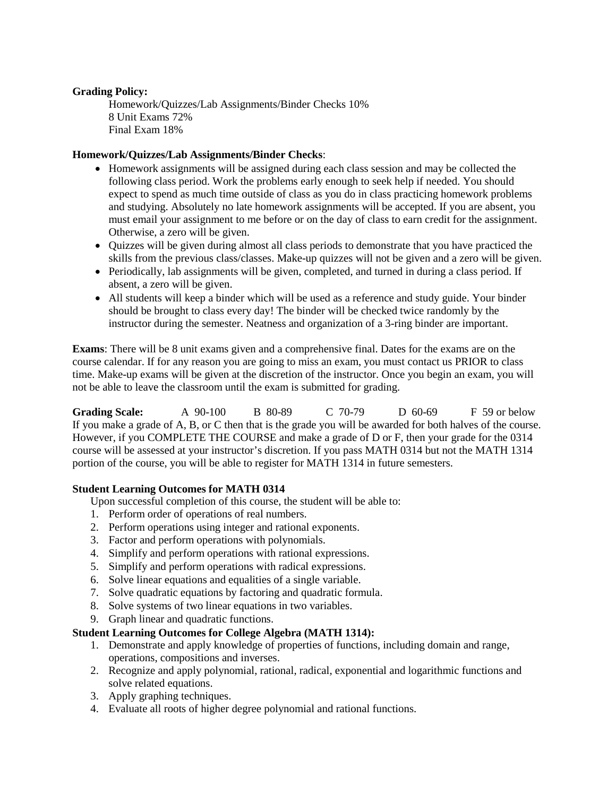### **Grading Policy:**

Homework/Quizzes/Lab Assignments/Binder Checks 10% 8 Unit Exams 72% Final Exam 18%

### **Homework/Quizzes/Lab Assignments/Binder Checks**:

- Homework assignments will be assigned during each class session and may be collected the following class period. Work the problems early enough to seek help if needed. You should expect to spend as much time outside of class as you do in class practicing homework problems and studying. Absolutely no late homework assignments will be accepted. If you are absent, you must email your assignment to me before or on the day of class to earn credit for the assignment. Otherwise, a zero will be given.
- Quizzes will be given during almost all class periods to demonstrate that you have practiced the skills from the previous class/classes. Make-up quizzes will not be given and a zero will be given.
- Periodically, lab assignments will be given, completed, and turned in during a class period. If absent, a zero will be given.
- All students will keep a binder which will be used as a reference and study guide. Your binder should be brought to class every day! The binder will be checked twice randomly by the instructor during the semester. Neatness and organization of a 3-ring binder are important.

**Exams**: There will be 8 unit exams given and a comprehensive final. Dates for the exams are on the course calendar. If for any reason you are going to miss an exam, you must contact us PRIOR to class time. Make-up exams will be given at the discretion of the instructor. Once you begin an exam, you will not be able to leave the classroom until the exam is submitted for grading.

**Grading Scale:** A 90-100 B 80-89 C 70-79 D 60-69 F 59 or below If you make a grade of A, B, or C then that is the grade you will be awarded for both halves of the course. However, if you COMPLETE THE COURSE and make a grade of D or F, then your grade for the 0314 course will be assessed at your instructor's discretion. If you pass MATH 0314 but not the MATH 1314 portion of the course, you will be able to register for MATH 1314 in future semesters.

#### **Student Learning Outcomes for MATH 0314**

Upon successful completion of this course, the student will be able to:

- 1. Perform order of operations of real numbers.
- 2. Perform operations using integer and rational exponents.
- 3. Factor and perform operations with polynomials.
- 4. Simplify and perform operations with rational expressions.
- 5. Simplify and perform operations with radical expressions.
- 6. Solve linear equations and equalities of a single variable.
- 7. Solve quadratic equations by factoring and quadratic formula.
- 8. Solve systems of two linear equations in two variables.
- 9. Graph linear and quadratic functions.

## **Student Learning Outcomes for College Algebra (MATH 1314):**

- 1. Demonstrate and apply knowledge of properties of functions, including domain and range, operations, compositions and inverses.
- 2. Recognize and apply polynomial, rational, radical, exponential and logarithmic functions and solve related equations.
- 3. Apply graphing techniques.
- 4. Evaluate all roots of higher degree polynomial and rational functions.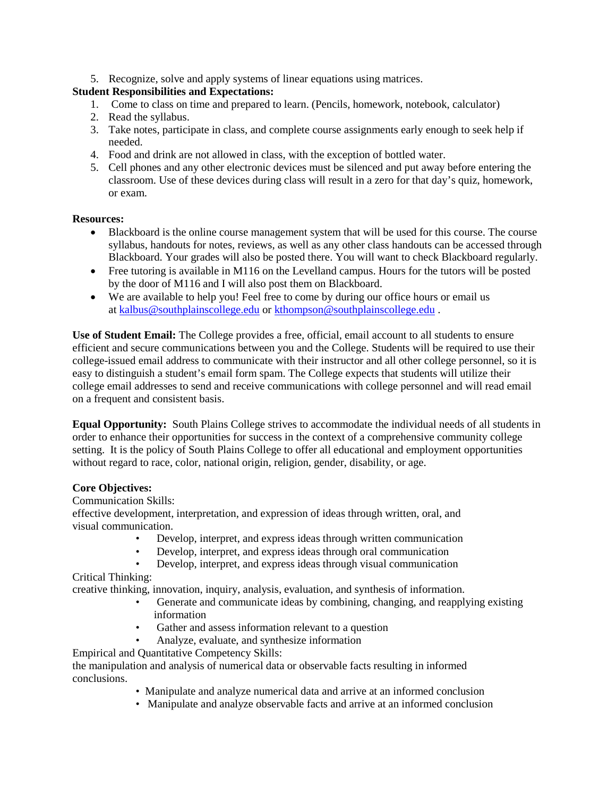5. Recognize, solve and apply systems of linear equations using matrices.

## **Student Responsibilities and Expectations:**

- 1. Come to class on time and prepared to learn. (Pencils, homework, notebook, calculator)
- 2. Read the syllabus.
- 3. Take notes, participate in class, and complete course assignments early enough to seek help if needed.
- 4. Food and drink are not allowed in class, with the exception of bottled water.
- 5. Cell phones and any other electronic devices must be silenced and put away before entering the classroom. Use of these devices during class will result in a zero for that day's quiz, homework, or exam.

### **Resources:**

- Blackboard is the online course management system that will be used for this course. The course syllabus, handouts for notes, reviews, as well as any other class handouts can be accessed through Blackboard. Your grades will also be posted there. You will want to check Blackboard regularly.
- Free tutoring is available in M116 on the Levelland campus. Hours for the tutors will be posted by the door of M116 and I will also post them on Blackboard.
- We are available to help you! Feel free to come by during our office hours or email us at [kalbus@southplainscollege.edu](mailto:kalbus@southplainscollege.edu) o[r kthompson@southplainscollege.edu](mailto:kthompson@southplainscollege.edu) .

**Use of Student Email:** The College provides a free, official, email account to all students to ensure efficient and secure communications between you and the College. Students will be required to use their college-issued email address to communicate with their instructor and all other college personnel, so it is easy to distinguish a student's email form spam. The College expects that students will utilize their college email addresses to send and receive communications with college personnel and will read email on a frequent and consistent basis.

**Equal Opportunity:** South Plains College strives to accommodate the individual needs of all students in order to enhance their opportunities for success in the context of a comprehensive community college setting. It is the policy of South Plains College to offer all educational and employment opportunities without regard to race, color, national origin, religion, gender, disability, or age.

## **Core Objectives:**

Communication Skills:

effective development, interpretation, and expression of ideas through written, oral, and visual communication.

- Develop, interpret, and express ideas through written communication
- Develop, interpret, and express ideas through oral communication
- Develop, interpret, and express ideas through visual communication

Critical Thinking:

creative thinking, innovation, inquiry, analysis, evaluation, and synthesis of information.

- Generate and communicate ideas by combining, changing, and reapplying existing information
- Gather and assess information relevant to a question
- Analyze, evaluate, and synthesize information

Empirical and Quantitative Competency Skills:

the manipulation and analysis of numerical data or observable facts resulting in informed conclusions.

- Manipulate and analyze numerical data and arrive at an informed conclusion
- Manipulate and analyze observable facts and arrive at an informed conclusion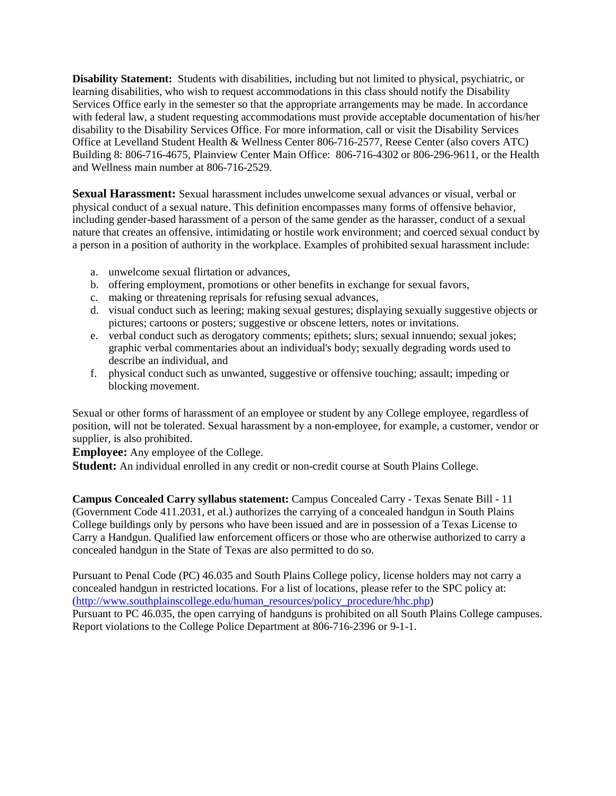**Disability Statement:** Students with disabilities, including but not limited to physical, psychiatric, or learning disabilities, who wish to request accommodations in this class should notify the Disability Services Office early in the semester so that the appropriate arrangements may be made. In accordance with federal law, a student requesting accommodations must provide acceptable documentation of his/her disability to the Disability Services Office. For more information, call or visit the Disability Services Office at Levelland Student Health & Wellness Center 806-716-2577, Reese Center (also covers ATC) Building 8: 806-716-4675, Plainview Center Main Office: 806-716-4302 or 806-296-9611, or the Health and Wellness main number at 806-716-2529.

**Sexual Harassment:** Sexual harassment includes unwelcome sexual advances or visual, verbal or physical conduct of a sexual nature. This definition encompasses many forms of offensive behavior, including gender-based harassment of a person of the same gender as the harasser, conduct of a sexual nature that creates an offensive, intimidating or hostile work environment; and coerced sexual conduct by a person in a position of authority in the workplace. Examples of prohibited sexual harassment include:

- a. unwelcome sexual flirtation or advances,
- b. offering employment, promotions or other benefits in exchange for sexual favors,
- c. making or threatening reprisals for refusing sexual advances,
- d. visual conduct such as leering; making sexual gestures; displaying sexually suggestive objects or pictures; cartoons or posters; suggestive or obscene letters, notes or invitations.
- e. verbal conduct such as derogatory comments; epithets; slurs; sexual innuendo; sexual jokes; graphic verbal commentaries about an individual's body; sexually degrading words used to describe an individual, and
- f. physical conduct such as unwanted, suggestive or offensive touching; assault; impeding or blocking movement.

Sexual or other forms of harassment of an employee or student by any College employee, regardless of position, will not be tolerated. Sexual harassment by a non-employee, for example, a customer, vendor or supplier, is also prohibited.

**Employee:** Any employee of the College.

**Student:** An individual enrolled in any credit or non-credit course at South Plains College.

**Campus Concealed Carry syllabus statement:** Campus Concealed Carry - Texas Senate Bill - 11 (Government Code 411.2031, et al.) authorizes the carrying of a concealed handgun in South Plains College buildings only by persons who have been issued and are in possession of a Texas License to Carry a Handgun. Qualified law enforcement officers or those who are otherwise authorized to carry a concealed handgun in the State of Texas are also permitted to do so.

Pursuant to Penal Code (PC) 46.035 and South Plains College policy, license holders may not carry a concealed handgun in restricted locations. For a list of locations, please refer to the SPC policy at: [\(http://www.southplainscollege.edu/human\\_resources/policy\\_procedure/hhc.php\)](http://www.southplainscollege.edu/human_resources/policy_procedure/hhc.php) Pursuant to PC 46.035, the open carrying of handguns is prohibited on all South Plains College campuses. Report violations to the College Police Department at 806-716-2396 or 9-1-1.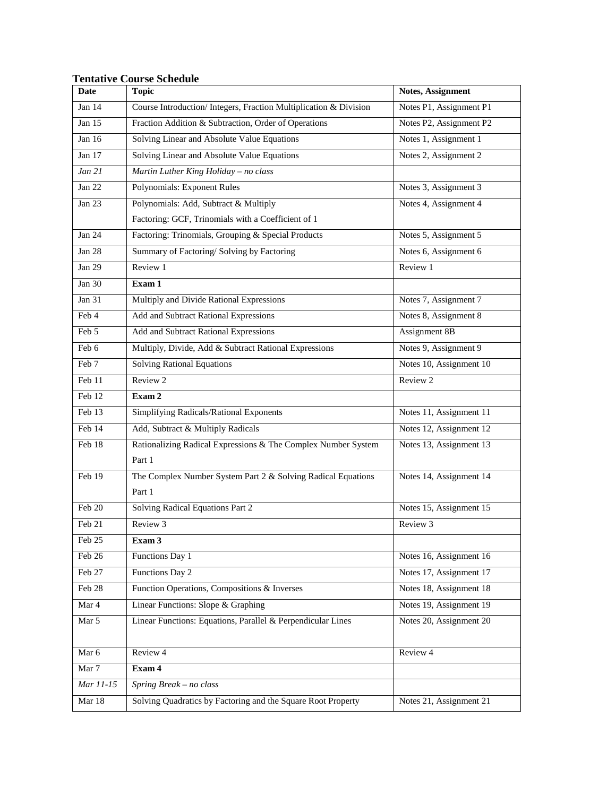| Date                       | rentau ve Course Beneuine<br><b>Topic</b>                         | Notes, Assignment       |
|----------------------------|-------------------------------------------------------------------|-------------------------|
| Jan 14                     | Course Introduction/ Integers, Fraction Multiplication & Division | Notes P1, Assignment P1 |
| $\overline{\text{Jan}}$ 15 | Fraction Addition & Subtraction, Order of Operations              | Notes P2, Assignment P2 |
| Jan $16$                   | Solving Linear and Absolute Value Equations                       | Notes 1, Assignment 1   |
| Jan 17                     | Solving Linear and Absolute Value Equations                       | Notes 2, Assignment 2   |
| $\overline{Jan}$ 21        | Martin Luther King Holiday - no class                             |                         |
| Jan $22$                   | <b>Polynomials: Exponent Rules</b>                                | Notes 3, Assignment 3   |
| <b>Jan 23</b>              | Polynomials: Add, Subtract & Multiply                             | Notes 4, Assignment 4   |
|                            | Factoring: GCF, Trinomials with a Coefficient of 1                |                         |
| Jan $24$                   | Factoring: Trinomials, Grouping & Special Products                | Notes 5, Assignment 5   |
| Jan 28                     | Summary of Factoring/ Solving by Factoring                        | Notes 6, Assignment 6   |
| Jan 29                     | Review 1                                                          | Review 1                |
| Jan 30                     | Exam 1                                                            |                         |
| Jan 31                     | Multiply and Divide Rational Expressions                          | Notes 7, Assignment 7   |
| Feb 4                      | Add and Subtract Rational Expressions                             | Notes 8, Assignment 8   |
| Feb 5                      | Add and Subtract Rational Expressions                             | Assignment 8B           |
| Feb 6                      | Multiply, Divide, Add & Subtract Rational Expressions             | Notes 9, Assignment 9   |
| Feb 7                      | <b>Solving Rational Equations</b>                                 | Notes 10, Assignment 10 |
| Feb 11                     | Review 2                                                          | Review 2                |
| Feb 12                     | Exam 2                                                            |                         |
| Feb 13                     | Simplifying Radicals/Rational Exponents                           | Notes 11, Assignment 11 |
| Feb 14                     | Add, Subtract & Multiply Radicals                                 | Notes 12, Assignment 12 |
| Feb 18                     | Rationalizing Radical Expressions & The Complex Number System     | Notes 13, Assignment 13 |
|                            | Part 1                                                            |                         |
| Feb 19                     | The Complex Number System Part 2 & Solving Radical Equations      | Notes 14, Assignment 14 |
|                            | Part 1                                                            |                         |
| Feb 20                     | Solving Radical Equations Part 2                                  | Notes 15, Assignment 15 |
| Feb 21                     | Review 3                                                          | Review 3                |
| Feb 25                     | Exam 3                                                            |                         |
| Feb 26                     | Functions Day 1                                                   | Notes 16, Assignment 16 |
| Feb 27                     | Functions Day 2                                                   | Notes 17, Assignment 17 |
| Feb 28                     | Function Operations, Compositions & Inverses                      | Notes 18, Assignment 18 |
| Mar 4                      | Linear Functions: Slope & Graphing                                | Notes 19, Assignment 19 |
| Mar 5                      | Linear Functions: Equations, Parallel & Perpendicular Lines       | Notes 20, Assignment 20 |
| Mar 6                      | Review 4                                                          | Review 4                |
| Mar 7                      | Exam 4                                                            |                         |
| Mar 11-15                  |                                                                   |                         |
|                            | Spring Break - no class                                           |                         |

# **Tentative Course Schedule**